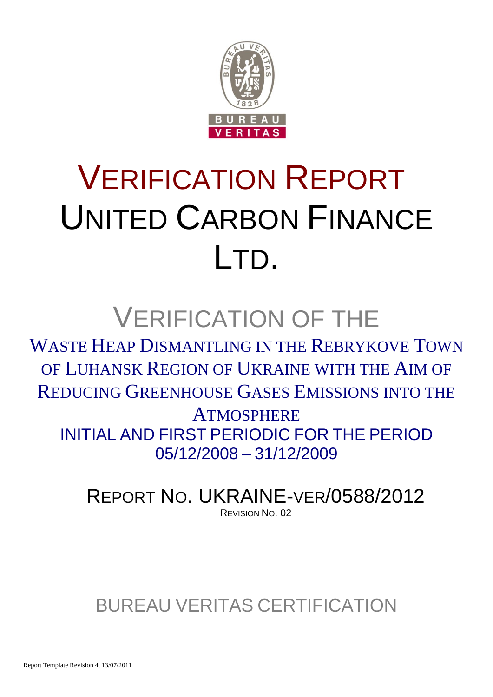

# VERIFICATION REPORT UNITED CARBON FINANCE LTD.

## VERIFICATION OF THE

WASTE HEAP DISMANTLING IN THE REBRYKOVE TOWN OF LUHANSK REGION OF UKRAINE WITH THE AIM OF REDUCING GREENHOUSE GASES EMISSIONS INTO THE

**ATMOSPHERE** INITIAL AND FIRST PERIODIC FOR THE PERIOD 05/12/2008 – 31/12/2009

REPORT NO. UKRAINE-VER/0588/2012 REVISION NO. 02

### BUREAU VERITAS CERTIFICATION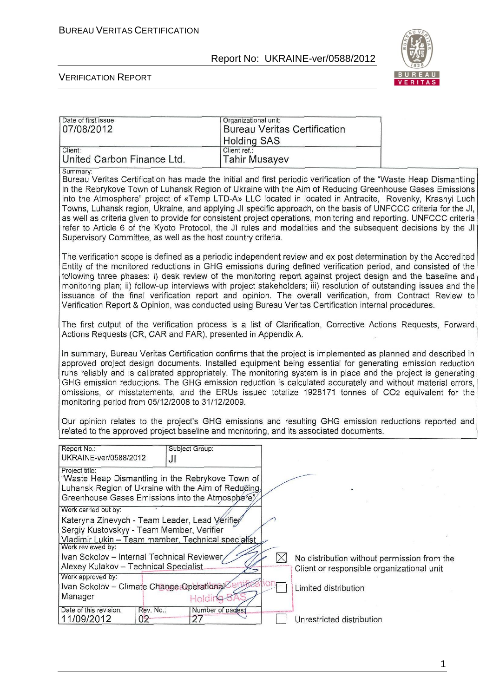

#### VERIFICATION REPORT

| Date of first issue:<br>07/08/2012                                                                                                                                           |                                                                                                                                                                                                                                                                                                                                                                                                                                                                                                                                                                                                                                                                                                                                                                                                                       | Organizational unit:   |  | <b>Bureau Veritas Certification</b>                                                                  |                                                                                                                                                                                                                                                                                                                                                                                                                                                                                                                                                                                                                                                                                                                                                                                                                                                                                                                                                                                                                                                                                                                                                                                                                                                                                                                                                                                                  |  |
|------------------------------------------------------------------------------------------------------------------------------------------------------------------------------|-----------------------------------------------------------------------------------------------------------------------------------------------------------------------------------------------------------------------------------------------------------------------------------------------------------------------------------------------------------------------------------------------------------------------------------------------------------------------------------------------------------------------------------------------------------------------------------------------------------------------------------------------------------------------------------------------------------------------------------------------------------------------------------------------------------------------|------------------------|--|------------------------------------------------------------------------------------------------------|--------------------------------------------------------------------------------------------------------------------------------------------------------------------------------------------------------------------------------------------------------------------------------------------------------------------------------------------------------------------------------------------------------------------------------------------------------------------------------------------------------------------------------------------------------------------------------------------------------------------------------------------------------------------------------------------------------------------------------------------------------------------------------------------------------------------------------------------------------------------------------------------------------------------------------------------------------------------------------------------------------------------------------------------------------------------------------------------------------------------------------------------------------------------------------------------------------------------------------------------------------------------------------------------------------------------------------------------------------------------------------------------------|--|
|                                                                                                                                                                              |                                                                                                                                                                                                                                                                                                                                                                                                                                                                                                                                                                                                                                                                                                                                                                                                                       | <b>Holding SAS</b>     |  |                                                                                                      |                                                                                                                                                                                                                                                                                                                                                                                                                                                                                                                                                                                                                                                                                                                                                                                                                                                                                                                                                                                                                                                                                                                                                                                                                                                                                                                                                                                                  |  |
| Client:                                                                                                                                                                      |                                                                                                                                                                                                                                                                                                                                                                                                                                                                                                                                                                                                                                                                                                                                                                                                                       | Client ref.:           |  |                                                                                                      |                                                                                                                                                                                                                                                                                                                                                                                                                                                                                                                                                                                                                                                                                                                                                                                                                                                                                                                                                                                                                                                                                                                                                                                                                                                                                                                                                                                                  |  |
| United Carbon Finance Ltd.                                                                                                                                                   |                                                                                                                                                                                                                                                                                                                                                                                                                                                                                                                                                                                                                                                                                                                                                                                                                       | Tahir Musayev          |  |                                                                                                      |                                                                                                                                                                                                                                                                                                                                                                                                                                                                                                                                                                                                                                                                                                                                                                                                                                                                                                                                                                                                                                                                                                                                                                                                                                                                                                                                                                                                  |  |
| Summary:<br>Supervisory Committee, as well as the host country criteria.                                                                                                     |                                                                                                                                                                                                                                                                                                                                                                                                                                                                                                                                                                                                                                                                                                                                                                                                                       |                        |  | Verification Report & Opinion, was conducted using Bureau Veritas Certification internal procedures. | Bureau Veritas Certification has made the initial and first periodic verification of the "Waste Heap Dismantling<br>in the Rebrykove Town of Luhansk Region of Ukraine with the Aim of Reducing Greenhouse Gases Emissions<br>into the Atmosphere" project of «Temp LTD-A» LLC located in located in Antracite, Rovenky, Krasnyi Luch<br>Towns, Luhansk region, Ukraine, and applying JI specific approach, on the basis of UNFCCC criteria for the JI,<br>as well as criteria given to provide for consistent project operations, monitoring and reporting. UNFCCC criteria<br>refer to Article 6 of the Kyoto Protocol, the JI rules and modalities and the subsequent decisions by the JI<br>The verification scope is defined as a periodic independent review and ex post determination by the Accredited<br>Entity of the monitored reductions in GHG emissions during defined verification period, and consisted of the<br>following three phases: i) desk review of the monitoring report against project design and the baseline and<br>monitoring plan; ii) follow-up interviews with project stakeholders; iii) resolution of outstanding issues and the<br>issuance of the final verification report and opinion. The overall verification, from Contract Review to<br>The first output of the verification process is a list of Clarification, Corrective Actions Requests, Forward |  |
| Actions Requests (CR, CAR and FAR), presented in Appendix A.                                                                                                                 |                                                                                                                                                                                                                                                                                                                                                                                                                                                                                                                                                                                                                                                                                                                                                                                                                       |                        |  |                                                                                                      |                                                                                                                                                                                                                                                                                                                                                                                                                                                                                                                                                                                                                                                                                                                                                                                                                                                                                                                                                                                                                                                                                                                                                                                                                                                                                                                                                                                                  |  |
|                                                                                                                                                                              | In summary, Bureau Veritas Certification confirms that the project is implemented as planned and described in<br>approved project design documents. Installed equipment being essential for generating emission reduction<br>runs reliably and is calibrated appropriately. The monitoring system is in place and the project is generating<br>GHG emission reductions. The GHG emission reduction is calculated accurately and without material errors,<br>omissions, or misstatements, and the ERUs issued totalize 1928171 tonnes of CO2 equivalent for the<br>monitoring period from 05/12/2008 to 31/12/2009.<br>Our opinion relates to the project's GHG emissions and resulting GHG emission reductions reported and<br>related to the approved project baseline and monitoring, and its associated documents. |                        |  |                                                                                                      |                                                                                                                                                                                                                                                                                                                                                                                                                                                                                                                                                                                                                                                                                                                                                                                                                                                                                                                                                                                                                                                                                                                                                                                                                                                                                                                                                                                                  |  |
| Report No.:<br>UKRAINE-ver/0588/2012                                                                                                                                         |                                                                                                                                                                                                                                                                                                                                                                                                                                                                                                                                                                                                                                                                                                                                                                                                                       | Subject Group:         |  |                                                                                                      |                                                                                                                                                                                                                                                                                                                                                                                                                                                                                                                                                                                                                                                                                                                                                                                                                                                                                                                                                                                                                                                                                                                                                                                                                                                                                                                                                                                                  |  |
|                                                                                                                                                                              | JI                                                                                                                                                                                                                                                                                                                                                                                                                                                                                                                                                                                                                                                                                                                                                                                                                    |                        |  |                                                                                                      |                                                                                                                                                                                                                                                                                                                                                                                                                                                                                                                                                                                                                                                                                                                                                                                                                                                                                                                                                                                                                                                                                                                                                                                                                                                                                                                                                                                                  |  |
| Project title:<br>"Waste Heap Dismantling in the Rebrykove Town of<br>Luhansk Region of Ukraine with the Aim of Reducing<br>Greenhouse Gases Emissions into the Atmosphere"/ |                                                                                                                                                                                                                                                                                                                                                                                                                                                                                                                                                                                                                                                                                                                                                                                                                       |                        |  |                                                                                                      |                                                                                                                                                                                                                                                                                                                                                                                                                                                                                                                                                                                                                                                                                                                                                                                                                                                                                                                                                                                                                                                                                                                                                                                                                                                                                                                                                                                                  |  |
| Work carried out by:                                                                                                                                                         |                                                                                                                                                                                                                                                                                                                                                                                                                                                                                                                                                                                                                                                                                                                                                                                                                       |                        |  |                                                                                                      |                                                                                                                                                                                                                                                                                                                                                                                                                                                                                                                                                                                                                                                                                                                                                                                                                                                                                                                                                                                                                                                                                                                                                                                                                                                                                                                                                                                                  |  |
| Kateryna Zinevych - Team Leader, Lead Verifier                                                                                                                               |                                                                                                                                                                                                                                                                                                                                                                                                                                                                                                                                                                                                                                                                                                                                                                                                                       |                        |  |                                                                                                      |                                                                                                                                                                                                                                                                                                                                                                                                                                                                                                                                                                                                                                                                                                                                                                                                                                                                                                                                                                                                                                                                                                                                                                                                                                                                                                                                                                                                  |  |
| Sergiy Kustovskyy - Team Member, Verifier                                                                                                                                    |                                                                                                                                                                                                                                                                                                                                                                                                                                                                                                                                                                                                                                                                                                                                                                                                                       |                        |  |                                                                                                      |                                                                                                                                                                                                                                                                                                                                                                                                                                                                                                                                                                                                                                                                                                                                                                                                                                                                                                                                                                                                                                                                                                                                                                                                                                                                                                                                                                                                  |  |
| Vladimir Lukin - Team member, Technical specialist<br>Work reviewed by:                                                                                                      |                                                                                                                                                                                                                                                                                                                                                                                                                                                                                                                                                                                                                                                                                                                                                                                                                       |                        |  |                                                                                                      |                                                                                                                                                                                                                                                                                                                                                                                                                                                                                                                                                                                                                                                                                                                                                                                                                                                                                                                                                                                                                                                                                                                                                                                                                                                                                                                                                                                                  |  |
| Ivan Sokolov - Internal Technical Reviewer                                                                                                                                   |                                                                                                                                                                                                                                                                                                                                                                                                                                                                                                                                                                                                                                                                                                                                                                                                                       |                        |  | No distribution without permission from the                                                          |                                                                                                                                                                                                                                                                                                                                                                                                                                                                                                                                                                                                                                                                                                                                                                                                                                                                                                                                                                                                                                                                                                                                                                                                                                                                                                                                                                                                  |  |
| Alexey Kulakov - Technical Specialist                                                                                                                                        |                                                                                                                                                                                                                                                                                                                                                                                                                                                                                                                                                                                                                                                                                                                                                                                                                       |                        |  | Client or responsible organizational unit                                                            |                                                                                                                                                                                                                                                                                                                                                                                                                                                                                                                                                                                                                                                                                                                                                                                                                                                                                                                                                                                                                                                                                                                                                                                                                                                                                                                                                                                                  |  |
| Work approved by:                                                                                                                                                            |                                                                                                                                                                                                                                                                                                                                                                                                                                                                                                                                                                                                                                                                                                                                                                                                                       |                        |  |                                                                                                      |                                                                                                                                                                                                                                                                                                                                                                                                                                                                                                                                                                                                                                                                                                                                                                                                                                                                                                                                                                                                                                                                                                                                                                                                                                                                                                                                                                                                  |  |
| Ivan Sokolov - Climate Change Operational                                                                                                                                    |                                                                                                                                                                                                                                                                                                                                                                                                                                                                                                                                                                                                                                                                                                                                                                                                                       |                        |  | Limited distribution                                                                                 |                                                                                                                                                                                                                                                                                                                                                                                                                                                                                                                                                                                                                                                                                                                                                                                                                                                                                                                                                                                                                                                                                                                                                                                                                                                                                                                                                                                                  |  |
| Manager                                                                                                                                                                      |                                                                                                                                                                                                                                                                                                                                                                                                                                                                                                                                                                                                                                                                                                                                                                                                                       | Holding                |  |                                                                                                      |                                                                                                                                                                                                                                                                                                                                                                                                                                                                                                                                                                                                                                                                                                                                                                                                                                                                                                                                                                                                                                                                                                                                                                                                                                                                                                                                                                                                  |  |
| Date of this revision:<br>11/09/2012                                                                                                                                         | Rev. No.:<br>$02 -$                                                                                                                                                                                                                                                                                                                                                                                                                                                                                                                                                                                                                                                                                                                                                                                                   | Number of pages:<br>27 |  | Unrestricted distribution                                                                            |                                                                                                                                                                                                                                                                                                                                                                                                                                                                                                                                                                                                                                                                                                                                                                                                                                                                                                                                                                                                                                                                                                                                                                                                                                                                                                                                                                                                  |  |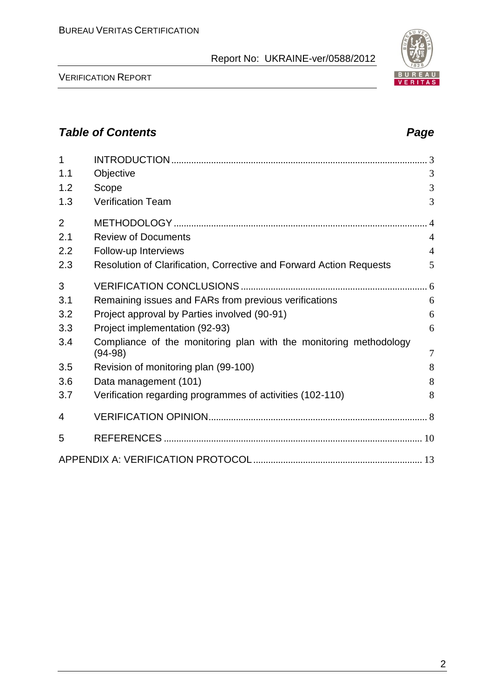VERIFICATION REPORT

| $\overline{1}$ |                                                                                |                |
|----------------|--------------------------------------------------------------------------------|----------------|
| 1.1            | Objective                                                                      | 3              |
| 1.2            | Scope                                                                          | 3              |
| 1.3            | <b>Verification Team</b>                                                       | 3              |
| $\overline{2}$ |                                                                                |                |
| 2.1            | <b>Review of Documents</b>                                                     | $\overline{4}$ |
| 2.2            | Follow-up Interviews                                                           | $\overline{4}$ |
| 2.3            | Resolution of Clarification, Corrective and Forward Action Requests            | 5              |
| 3              |                                                                                |                |
| 3.1            | Remaining issues and FARs from previous verifications                          | 6              |
| 3.2            | Project approval by Parties involved (90-91)                                   | 6              |
| 3.3            | Project implementation (92-93)                                                 | 6              |
| 3.4            | Compliance of the monitoring plan with the monitoring methodology<br>$(94-98)$ | $\overline{7}$ |
| 3.5            | Revision of monitoring plan (99-100)                                           | 8              |
| 3.6            | Data management (101)                                                          | 8              |
| 3.7            | Verification regarding programmes of activities (102-110)                      | 8              |
| 4              |                                                                                |                |
| 5              |                                                                                |                |
|                |                                                                                |                |

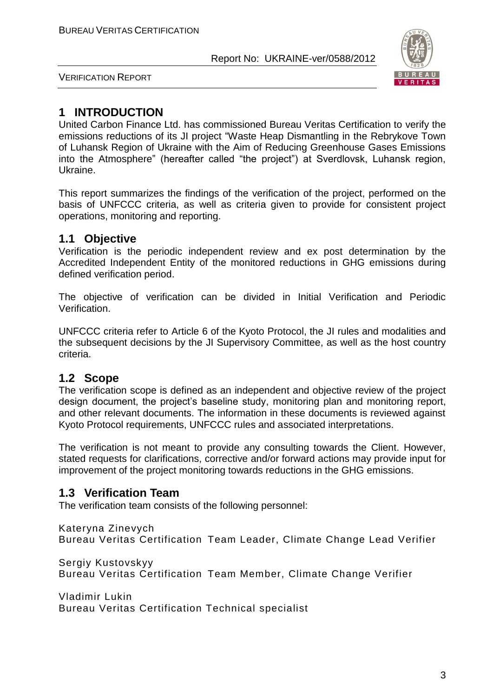

VERIFICATION REPORT

#### **1 INTRODUCTION**

United Carbon Finance Ltd. has commissioned Bureau Veritas Certification to verify the emissions reductions of its JI project "Waste Heap Dismantling in the Rebrykove Town of Luhansk Region of Ukraine with the Aim of Reducing Greenhouse Gases Emissions into the Atmosphere" (hereafter called "the project") at Sverdlovsk, Luhansk region, Ukraine.

This report summarizes the findings of the verification of the project, performed on the basis of UNFCCC criteria, as well as criteria given to provide for consistent project operations, monitoring and reporting.

#### **1.1 Objective**

Verification is the periodic independent review and ex post determination by the Accredited Independent Entity of the monitored reductions in GHG emissions during defined verification period.

The objective of verification can be divided in Initial Verification and Periodic Verification.

UNFCCC criteria refer to Article 6 of the Kyoto Protocol, the JI rules and modalities and the subsequent decisions by the JI Supervisory Committee, as well as the host country criteria.

#### **1.2 Scope**

The verification scope is defined as an independent and objective review of the project design document, the project's baseline study, monitoring plan and monitoring report, and other relevant documents. The information in these documents is reviewed against Kyoto Protocol requirements, UNFCCC rules and associated interpretations.

The verification is not meant to provide any consulting towards the Client. However, stated requests for clarifications, corrective and/or forward actions may provide input for improvement of the project monitoring towards reductions in the GHG emissions.

#### **1.3 Verification Team**

The verification team consists of the following personnel:

Kateryna Zinevych Bureau Veritas Certification Team Leader, Climate Change Lead Verifier

Sergiy Kustovskyy Bureau Veritas Certification Team Member, Climate Change Verifier

Vladimir Lukin Bureau Veritas Certification Technical specialist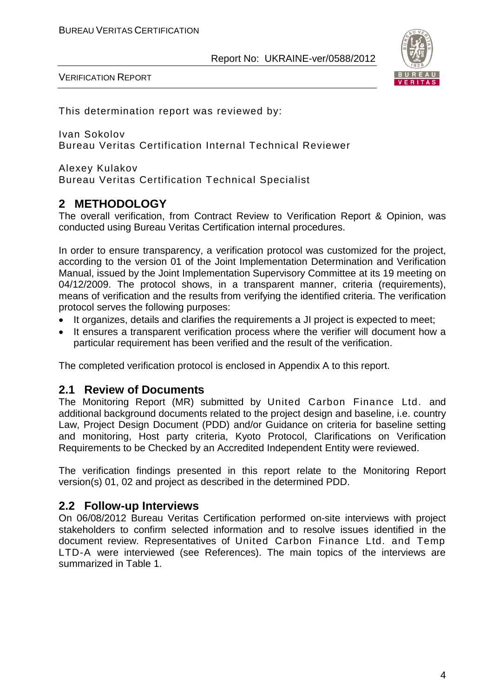

VERIFICATION REPORT

This determination report was reviewed by:

Ivan Sokolov Bureau Veritas Certification Internal Technical Reviewer

Alexey Kulakov Bureau Veritas Certification Technical Specialist

#### **2 METHODOLOGY**

The overall verification, from Contract Review to Verification Report & Opinion, was conducted using Bureau Veritas Certification internal procedures.

In order to ensure transparency, a verification protocol was customized for the project, according to the version 01 of the Joint Implementation Determination and Verification Manual, issued by the Joint Implementation Supervisory Committee at its 19 meeting on 04/12/2009. The protocol shows, in a transparent manner, criteria (requirements), means of verification and the results from verifying the identified criteria. The verification protocol serves the following purposes:

- It organizes, details and clarifies the requirements a JI project is expected to meet;
- It ensures a transparent verification process where the verifier will document how a particular requirement has been verified and the result of the verification.

The completed verification protocol is enclosed in Appendix A to this report.

#### **2.1 Review of Documents**

The Monitoring Report (MR) submitted by United Carbon Finance Ltd. and additional background documents related to the project design and baseline, i.e. country Law, Project Design Document (PDD) and/or Guidance on criteria for baseline setting and monitoring, Host party criteria, Kyoto Protocol, Clarifications on Verification Requirements to be Checked by an Accredited Independent Entity were reviewed.

The verification findings presented in this report relate to the Monitoring Report version(s) 01, 02 and project as described in the determined PDD.

#### **2.2 Follow-up Interviews**

On 06/08/2012 Bureau Veritas Certification performed on-site interviews with project stakeholders to confirm selected information and to resolve issues identified in the document review. Representatives of United Carbon Finance Ltd. and Temp LTD-A were interviewed (see References). The main topics of the interviews are summarized in Table 1.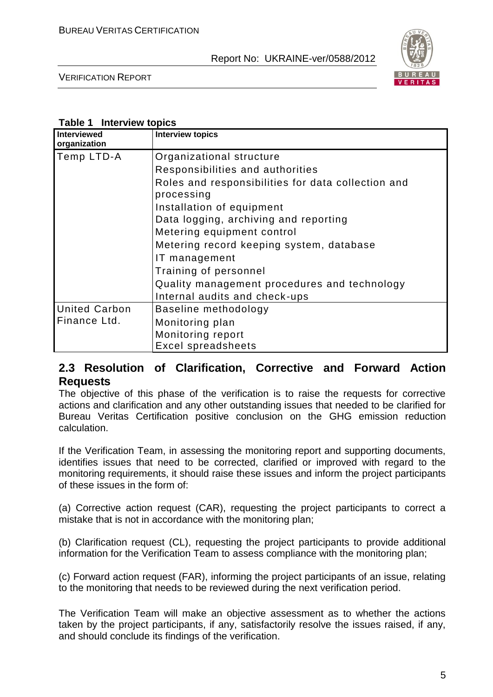

VERIFICATION REPORT

#### **Table 1 Interview topics**

| Interviewed<br>organization | <b>Interview topics</b>                                          |
|-----------------------------|------------------------------------------------------------------|
| Temp LTD-A                  | Organizational structure                                         |
|                             | Responsibilities and authorities                                 |
|                             | Roles and responsibilities for data collection and<br>processing |
|                             | Installation of equipment                                        |
|                             | Data logging, archiving and reporting                            |
|                             | Metering equipment control                                       |
|                             | Metering record keeping system, database                         |
|                             | IT management                                                    |
|                             | Training of personnel                                            |
|                             | Quality management procedures and technology                     |
|                             | Internal audits and check-ups                                    |
| <b>United Carbon</b>        | Baseline methodology                                             |
| Finance Ltd.                | Monitoring plan                                                  |
|                             | Monitoring report                                                |
|                             | <b>Excel spreadsheets</b>                                        |

#### **2.3 Resolution of Clarification, Corrective and Forward Action Requests**

The objective of this phase of the verification is to raise the requests for corrective actions and clarification and any other outstanding issues that needed to be clarified for Bureau Veritas Certification positive conclusion on the GHG emission reduction calculation.

If the Verification Team, in assessing the monitoring report and supporting documents, identifies issues that need to be corrected, clarified or improved with regard to the monitoring requirements, it should raise these issues and inform the project participants of these issues in the form of:

(a) Corrective action request (CAR), requesting the project participants to correct a mistake that is not in accordance with the monitoring plan;

(b) Clarification request (CL), requesting the project participants to provide additional information for the Verification Team to assess compliance with the monitoring plan;

(c) Forward action request (FAR), informing the project participants of an issue, relating to the monitoring that needs to be reviewed during the next verification period.

The Verification Team will make an objective assessment as to whether the actions taken by the project participants, if any, satisfactorily resolve the issues raised, if any, and should conclude its findings of the verification.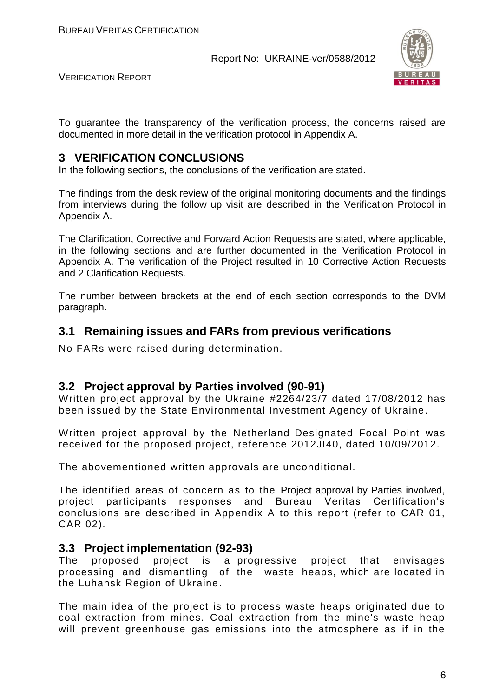

VERIFICATION REPORT

To guarantee the transparency of the verification process, the concerns raised are documented in more detail in the verification protocol in Appendix A.

#### **3 VERIFICATION CONCLUSIONS**

In the following sections, the conclusions of the verification are stated.

The findings from the desk review of the original monitoring documents and the findings from interviews during the follow up visit are described in the Verification Protocol in Appendix A.

The Clarification, Corrective and Forward Action Requests are stated, where applicable, in the following sections and are further documented in the Verification Protocol in Appendix A. The verification of the Project resulted in 10 Corrective Action Requests and 2 Clarification Requests.

The number between brackets at the end of each section corresponds to the DVM paragraph.

#### **3.1 Remaining issues and FARs from previous verifications**

No FARs were raised during determination.

#### **3.2 Project approval by Parties involved (90-91)**

Written project approval by the Ukraine #2264/23/7 dated 17/08/2012 has been issued by the State Environmental Investment Agency of Ukraine.

Written project approval by the Netherland Designated Focal Point was received for the proposed project, reference 2012JI40, dated 10/09/2012.

The abovementioned written approvals are unconditional.

The identified areas of concern as to the Project approval by Parties involved, project participants responses and Bureau Veritas Certification's conclusions are described in Appendix A to this report (refer to CAR 01, CAR 02).

#### **3.3 Project implementation (92-93)**

The proposed project is a progressive project that envisages processing and dismantling of the waste heaps, which are located in the Luhansk Region of Ukraine.

The main idea of the project is to process waste heaps originated due to coal extraction from mines. Coal extraction from the mine's waste heap will prevent greenhouse gas emissions into the atmosphere as if in the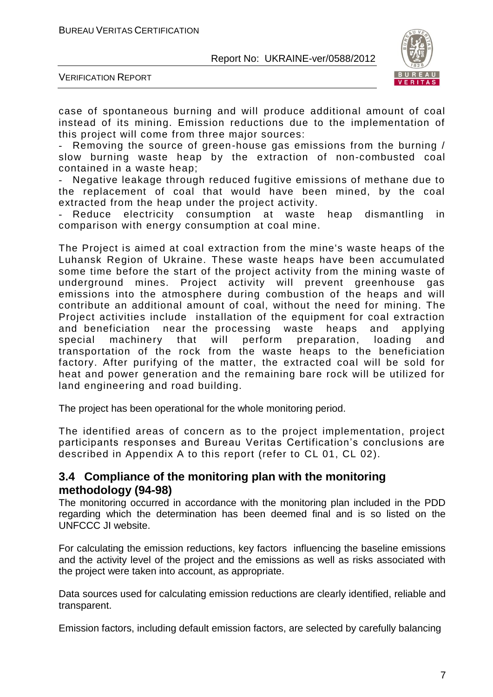

VERIFICATION REPORT

case of spontaneous burning and will produce additional amount of coal instead of its mining. Emission reductions due to the implementation of this project will come from three major sources:

- Removing the source of green-house gas emissions from the burning / slow burning waste heap by the extraction of non-combusted coal contained in a waste heap;

Negative leakage through reduced fugitive emissions of methane due to the replacement of coal that would have been mined, by the coal extracted from the heap under the project activity.

Reduce electricity consumption at waste heap dismantling in comparison with energy consumption at coal mine.

The Project is aimed at coal extraction from the mine's waste heaps of the Luhansk Region of Ukraine. These waste heaps have been accumulated some time before the start of the project activity from the mining waste of underground mines. Project activity will prevent greenhouse gas emissions into the atmosphere during combustion of the heaps and will contribute an additional amount of coal, without the need for mining. The Project activities include installation of the equipment for coal extraction and beneficiation near the processing waste heaps and applying special machinery that will perform preparation, loading and transportation of the rock from the waste heaps to the beneficiation factory. After purifying of the matter, the extracted coal will be sold for heat and power generation and the remaining bare rock will be utilized for land engineering and road building.

The project has been operational for the whole monitoring period.

The identified areas of concern as to the project implementation, project participants responses and Bureau Veritas Certification's conclusions are described in Appendix A to this report (refer to CL 01, CL 02).

#### **3.4 Compliance of the monitoring plan with the monitoring methodology (94-98)**

The monitoring occurred in accordance with the monitoring plan included in the PDD regarding which the determination has been deemed final and is so listed on the UNFCCC JI website.

For calculating the emission reductions, key factors influencing the baseline emissions and the activity level of the project and the emissions as well as risks associated with the project were taken into account, as appropriate.

Data sources used for calculating emission reductions are clearly identified, reliable and transparent.

Emission factors, including default emission factors, are selected by carefully balancing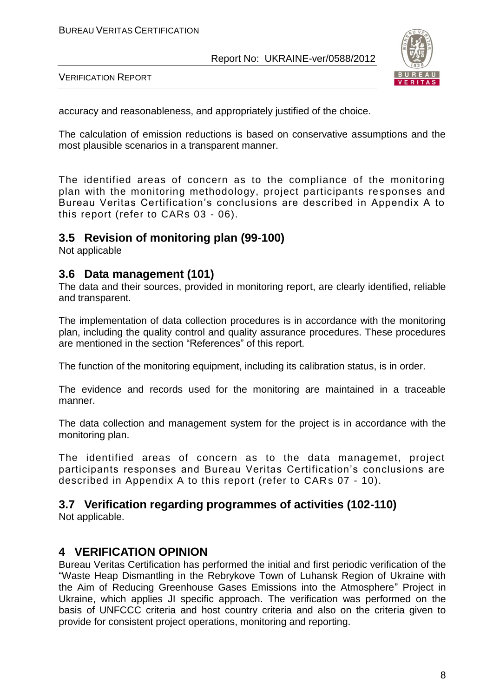

VERIFICATION REPORT

accuracy and reasonableness, and appropriately justified of the choice.

The calculation of emission reductions is based on conservative assumptions and the most plausible scenarios in a transparent manner.

The identified areas of concern as to the compliance of the monitoring plan with the monitoring methodology, project participants re sponses and Bureau Veritas Certification's conclusions are described in Appendix A to this report (refer to CARs 03 - 06).

#### **3.5 Revision of monitoring plan (99-100)**

Not applicable

#### **3.6 Data management (101)**

The data and their sources, provided in monitoring report, are clearly identified, reliable and transparent.

The implementation of data collection procedures is in accordance with the monitoring plan, including the quality control and quality assurance procedures. These procedures are mentioned in the section "References" of this report.

The function of the monitoring equipment, including its calibration status, is in order.

The evidence and records used for the monitoring are maintained in a traceable manner.

The data collection and management system for the project is in accordance with the monitoring plan.

The identified areas of concern as to the data managemet, project participants responses and Bureau Veritas Certification's conclusions are described in Appendix A to this report (refer to CARs 07 - 10).

#### **3.7 Verification regarding programmes of activities (102-110)**

Not applicable.

#### **4 VERIFICATION OPINION**

Bureau Veritas Certification has performed the initial and first periodic verification of the "Waste Heap Dismantling in the Rebrykove Town of Luhansk Region of Ukraine with the Aim of Reducing Greenhouse Gases Emissions into the Atmosphere" Project in Ukraine, which applies JI specific approach. The verification was performed on the basis of UNFCCC criteria and host country criteria and also on the criteria given to provide for consistent project operations, monitoring and reporting.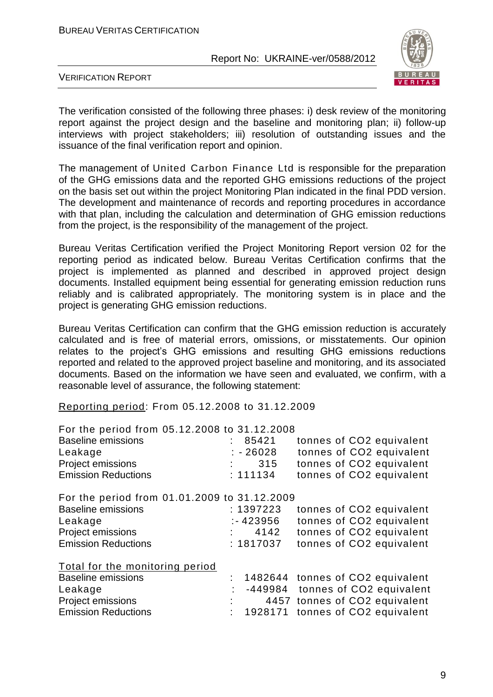

VERIFICATION REPORT

The verification consisted of the following three phases: i) desk review of the monitoring report against the project design and the baseline and monitoring plan; ii) follow-up interviews with project stakeholders; iii) resolution of outstanding issues and the issuance of the final verification report and opinion.

The management of United Carbon Finance Ltd is responsible for the preparation of the GHG emissions data and the reported GHG emissions reductions of the project on the basis set out within the project Monitoring Plan indicated in the final PDD version. The development and maintenance of records and reporting procedures in accordance with that plan, including the calculation and determination of GHG emission reductions from the project, is the responsibility of the management of the project.

Bureau Veritas Certification verified the Project Monitoring Report version 02 for the reporting period as indicated below. Bureau Veritas Certification confirms that the project is implemented as planned and described in approved project design documents. Installed equipment being essential for generating emission reduction runs reliably and is calibrated appropriately. The monitoring system is in place and the project is generating GHG emission reductions.

Bureau Veritas Certification can confirm that the GHG emission reduction is accurately calculated and is free of material errors, omissions, or misstatements. Our opinion relates to the project's GHG emissions and resulting GHG emissions reductions reported and related to the approved project baseline and monitoring, and its associated documents. Based on the information we have seen and evaluated, we confirm, with a reasonable level of assurance, the following statement:

Reporting period: From 05.12.2008 to 31.12.2009

| For the period from 05.12.2008 to 31.12.2008 |             |  |                                    |
|----------------------------------------------|-------------|--|------------------------------------|
| <b>Baseline emissions</b>                    | 85421       |  | tonnes of CO2 equivalent           |
| Leakage                                      | $: -26028$  |  | tonnes of CO2 equivalent           |
| Project emissions                            | 315         |  | tonnes of CO2 equivalent           |
| <b>Emission Reductions</b>                   | : 111134    |  | tonnes of CO2 equivalent           |
| For the period from 01.01.2009 to 31.12.2009 |             |  |                                    |
| <b>Baseline emissions</b>                    | : 1397223   |  | tonnes of CO2 equivalent           |
| Leakage                                      | $: -423956$ |  | tonnes of CO2 equivalent           |
| Project emissions                            | 4142        |  | tonnes of CO2 equivalent           |
| <b>Emission Reductions</b>                   | : 1817037   |  | tonnes of CO2 equivalent           |
| Total for the monitoring period              |             |  |                                    |
| <b>Baseline emissions</b>                    |             |  | : 1482644 tonnes of CO2 equivalent |
| Leakage                                      |             |  | -449984 tonnes of CO2 equivalent   |
| Project emissions                            |             |  | 4457 tonnes of CO2 equivalent      |
| <b>Emission Reductions</b>                   | : 1928171   |  | tonnes of CO2 equivalent           |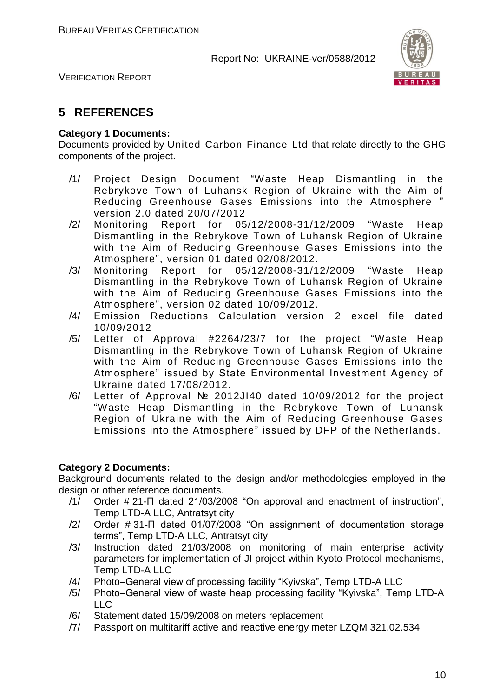

VERIFICATION REPORT

#### **5 REFERENCES**

#### **Category 1 Documents:**

Documents provided by United Carbon Finance Ltd that relate directly to the GHG components of the project.

- /1/ Project Design Document "Waste Heap Dismantling in the Rebrykove Town of Luhansk Region of Ukraine with the Aim of Reducing Greenhouse Gases Emissions into the Atmosphere " version 2.0 dated 20/07/2012
- /2/ Monitoring Report for 05/12/2008-31/12/2009 "Waste Heap Dismantling in the Rebrykove Town of Luhansk Region of Ukraine with the Aim of Reducing Greenhouse Gases Emissions into the Atmosphere", version 01 dated 02/08/2012.
- /3/ Monitoring Report for 05/12/2008-31/12/2009 "Waste Heap Dismantling in the Rebrykove Town of Luhansk Region of Ukraine with the Aim of Reducing Greenhouse Gases Emissions into the Atmosphere", version 02 dated 10/09/2012.
- /4/ Emission Reductions Calculation version 2 excel file dated 10/09/2012
- /5/ Letter of Approval #2264/23/7 for the project "Waste Heap Dismantling in the Rebrykove Town of Luhansk Region of Ukraine with the Aim of Reducing Greenhouse Gases Emissions into the Atmosphere" issued by State Environmental Investment Agency of Ukraine dated 17/08/2012.
- /6/ Letter of Approval № 2012JI40 dated 10/09/2012 for the project "Waste Heap Dismantling in the Rebrykove Town of Luhansk Region of Ukraine with the Aim of Reducing Greenhouse Gases Emissions into the Atmosphere" issued by DFP of the Netherlands.

#### **Category 2 Documents:**

Background documents related to the design and/or methodologies employed in the design or other reference documents.

- /1/ Order # 21-П dated 21/03/2008 "On approval and enactment of instruction", Temp LTD-A LLC, Antratsyt city
- /2/ Order # 31-П dated 01/07/2008 "On assignment of documentation storage terms", Temp LTD-A LLC, Antratsyt city
- /3/ Instruction dated 21/03/2008 on monitoring of main enterprise activity parameters for implementation of JI project within Kyoto Protocol mechanisms, Temp LTD-A LLC
- /4/ Photo–General view of processing facility "Kyivska", Temp LTD-A LLC
- /5/ Photo–General view of waste heap processing facility "Kyivska", Temp LTD-A  $\sqcup$  C
- /6/ Statement dated 15/09/2008 on meters replacement
- /7/ Passport on multitariff active and reactive energy meter LZQM 321.02.534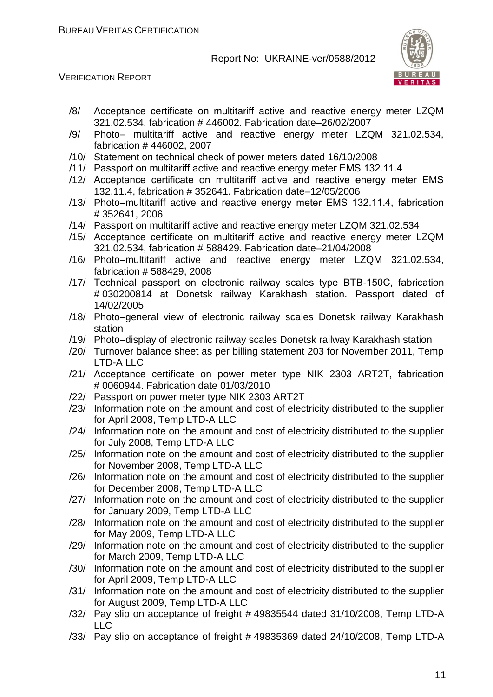VERIFICATION REPORT



- /8/ Acceptance certificate on multitariff active and reactive energy meter LZQM 321.02.534, fabrication # 446002. Fabrication date–26/02/2007
- /9/ Photo– multitariff active and reactive energy meter LZQM 321.02.534, fabrication # 446002, 2007
- /10/ Statement on technical check of power meters dated 16/10/2008
- /11/ Passport on multitariff active and reactive energy meter ЕМS 132.11.4
- /12/ Acceptance certificate on multitariff active and reactive energy meter ЕМS 132.11.4, fabrication # 352641. Fabrication date–12/05/2006
- /13/ Photo–multitariff active and reactive energy meter ЕМS 132.11.4, fabrication # 352641, 2006
- /14/ Passport on multitariff active and reactive energy meter LZQM 321.02.534
- /15/ Acceptance certificate on multitariff active and reactive energy meter LZQM 321.02.534, fabrication # 588429. Fabrication date–21/04/2008
- /16/ Photo–multitariff active and reactive energy meter LZQM 321.02.534, fabrication # 588429, 2008
- /17/ Technical passport on electronic railway scales type ВТВ-150С, fabrication # 030200814 at Donetsk railway Karakhash station. Passport dated of 14/02/2005
- /18/ Photo–general view of electronic railway scales Donetsk railway Karakhash station
- /19/ Photo–display of electronic railway scales Donetsk railway Karakhash station
- /20/ Turnover balance sheet as per billing statement 203 for November 2011, Temp LTD-A LLC
- /21/ Acceptance certificate on power meter type NIK 2303 ART2T, fabrication # 0060944. Fabrication date 01/03/2010
- /22/ Passport on power meter type NIK 2303 ART2T
- /23/ Information note on the amount and cost of electricity distributed to the supplier for April 2008, Temp LTD-A LLC
- /24/ Information note on the amount and cost of electricity distributed to the supplier for July 2008, Temp LTD-A LLC
- /25/ Information note on the amount and cost of electricity distributed to the supplier for November 2008, Temp LTD-A LLC
- /26/ Information note on the amount and cost of electricity distributed to the supplier for December 2008, Temp LTD-A LLC
- /27/ Information note on the amount and cost of electricity distributed to the supplier for January 2009, Temp LTD-A LLC
- /28/ Information note on the amount and cost of electricity distributed to the supplier for May 2009, Temp LTD-A LLC
- /29/ Information note on the amount and cost of electricity distributed to the supplier for March 2009, Temp LTD-A LLC
- /30/ Information note on the amount and cost of electricity distributed to the supplier for April 2009, Temp LTD-A LLC
- /31/ Information note on the amount and cost of electricity distributed to the supplier for August 2009, Temp LTD-A LLC
- /32/ Pay slip on acceptance of freight # 49835544 dated 31/10/2008, Temp LTD-A LLC
- /33/ Pay slip on acceptance of freight # 49835369 dated 24/10/2008, Temp LTD-A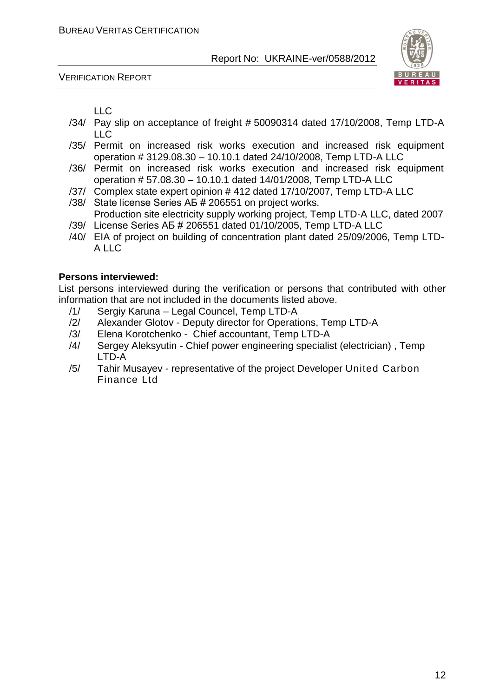VERIFICATION REPORT



LLC

- /34/ Pay slip on acceptance of freight # 50090314 dated 17/10/2008, Temp LTD-A LLC
- /35/ Permit on increased risk works execution and increased risk equipment operation # 3129.08.30 – 10.10.1 dated 24/10/2008, Temp LTD-A LLC
- /36/ Permit on increased risk works execution and increased risk equipment operation # 57.08.30 – 10.10.1 dated 14/01/2008, Temp LTD-A LLC
- /37/ Complex state expert opinion # 412 dated 17/10/2007, Temp LTD-A LLC
- /38/ State license Series АБ # 206551 on project works. Production site electricity supply working project, Temp LTD-A LLC, dated 2007
- /39/ License Series АБ # 206551 dated 01/10/2005, Temp LTD-A LLC
- /40/ EIA of project on building of concentration plant dated 25/09/2006, Temp LTD-A LLC

#### **Persons interviewed:**

List persons interviewed during the verification or persons that contributed with other information that are not included in the documents listed above.

- /1/ Sergiy Karuna Legal Councel, Temp LTD-A
- /2/ Alexander Glotov Deputy director for Operations, Temp LTD-A
- /3/ Elena Korotchenko Chief accountant, Temp LTD-A
- /4/ Sergey Aleksyutin Chief power engineering specialist (electrician) , Temp LTD-A
- /5/ Tahir Musayev representative of the project Developer United Carbon Finance Ltd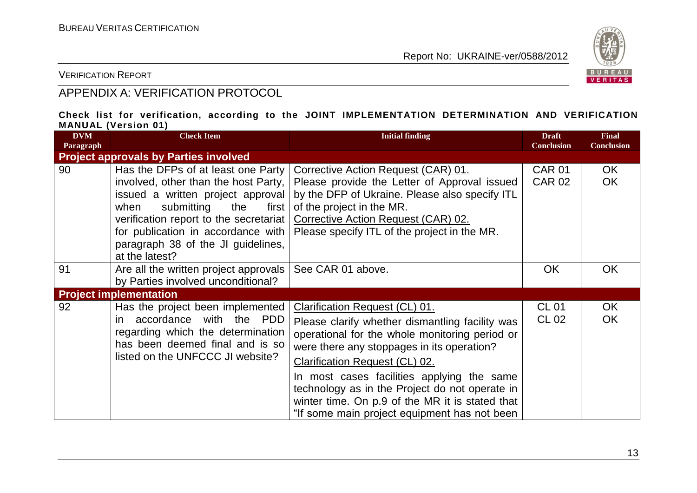

VERIFICATION REPORT

### APPENDIX A: VERIFICATION PROTOCOL

#### **Check list for verification, according to the JOINT IMPLEMENTATION DETERMINATION AND VERIFICATION MANUAL (Version 01)**

| <b>DVM</b><br>Paragraph | <b>Check Item</b>                                                                                                                                                                                                                                                                               | <b>Initial finding</b>                                                                                                                                                                                                                                                                                                                                                                                                        | <b>Draft</b><br><b>Conclusion</b> | <b>Final</b><br><b>Conclusion</b> |
|-------------------------|-------------------------------------------------------------------------------------------------------------------------------------------------------------------------------------------------------------------------------------------------------------------------------------------------|-------------------------------------------------------------------------------------------------------------------------------------------------------------------------------------------------------------------------------------------------------------------------------------------------------------------------------------------------------------------------------------------------------------------------------|-----------------------------------|-----------------------------------|
|                         | <b>Project approvals by Parties involved</b>                                                                                                                                                                                                                                                    |                                                                                                                                                                                                                                                                                                                                                                                                                               |                                   |                                   |
| 90                      | Has the DFPs of at least one Party<br>involved, other than the host Party,<br>issued a written project approval<br>submitting<br>when<br>the<br>first  <br>verification report to the secretariat<br>for publication in accordance with<br>paragraph 38 of the JI guidelines,<br>at the latest? | Corrective Action Request (CAR) 01.<br>Please provide the Letter of Approval issued<br>by the DFP of Ukraine. Please also specify ITL<br>of the project in the MR.<br>Corrective Action Request (CAR) 02.<br>Please specify ITL of the project in the MR.                                                                                                                                                                     | <b>CAR 01</b><br><b>CAR 02</b>    | OK.<br><b>OK</b>                  |
| 91                      | Are all the written project approvals<br>by Parties involved unconditional?                                                                                                                                                                                                                     | See CAR 01 above.                                                                                                                                                                                                                                                                                                                                                                                                             | <b>OK</b>                         | <b>OK</b>                         |
|                         | <b>Project implementation</b>                                                                                                                                                                                                                                                                   |                                                                                                                                                                                                                                                                                                                                                                                                                               |                                   |                                   |
| 92                      | Has the project been implemented<br>accordance with the PDD<br>in.<br>regarding which the determination<br>has been deemed final and is so<br>listed on the UNFCCC JI website?                                                                                                                  | Clarification Request (CL) 01.<br>Please clarify whether dismantling facility was<br>operational for the whole monitoring period or<br>were there any stoppages in its operation?<br><b>Clarification Request (CL) 02.</b><br>In most cases facilities applying the same<br>technology as in the Project do not operate in<br>winter time. On p.9 of the MR it is stated that<br>"If some main project equipment has not been | <b>CL 01</b><br>CL 02             | OK<br><b>OK</b>                   |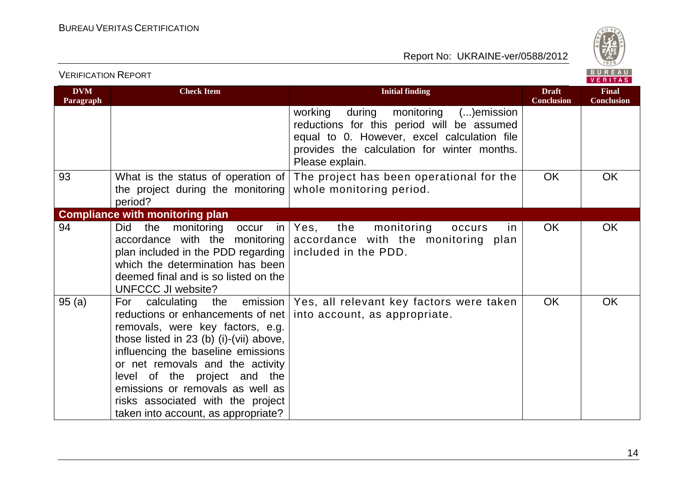VERIFICATION REPORT



| <b>DVM</b><br>Paragraph | <b>Check Item</b>                                                                                                                                                                                                                                                                                                                            | <b>Initial finding</b>                                                                                                                                                                                       | <b>Draft</b><br><b>Conclusion</b> | <b>Final</b><br><b>Conclusion</b> |
|-------------------------|----------------------------------------------------------------------------------------------------------------------------------------------------------------------------------------------------------------------------------------------------------------------------------------------------------------------------------------------|--------------------------------------------------------------------------------------------------------------------------------------------------------------------------------------------------------------|-----------------------------------|-----------------------------------|
|                         |                                                                                                                                                                                                                                                                                                                                              | working<br>monitoring<br>during<br>()emission<br>reductions for this period will be assumed<br>equal to 0. However, excel calculation file<br>provides the calculation for winter months.<br>Please explain. |                                   |                                   |
| 93                      | What is the status of operation of<br>the project during the monitoring<br>period?                                                                                                                                                                                                                                                           | The project has been operational for the<br>whole monitoring period.                                                                                                                                         | <b>OK</b>                         | OK                                |
|                         | <b>Compliance with monitoring plan</b>                                                                                                                                                                                                                                                                                                       |                                                                                                                                                                                                              |                                   |                                   |
| 94                      | Did<br>the<br>monitoring<br>occur<br>accordance with the monitoring<br>plan included in the PDD regarding  <br>which the determination has been<br>deemed final and is so listed on the<br><b>UNFCCC JI website?</b>                                                                                                                         | the<br>$in \,   \, Yes,$<br>monitoring<br>occurs<br>in.<br>accordance with the monitoring plan<br>included in the PDD.                                                                                       | OK                                | <b>OK</b>                         |
| 95(a)                   | reductions or enhancements of net  <br>removals, were key factors, e.g.<br>those listed in 23 (b) (i)-(vii) above,<br>influencing the baseline emissions<br>or net removals and the activity<br>level of the project and the<br>emissions or removals as well as<br>risks associated with the project<br>taken into account, as appropriate? | For calculating the emission   Yes, all relevant key factors were taken<br>into account, as appropriate.                                                                                                     | <b>OK</b>                         | OK                                |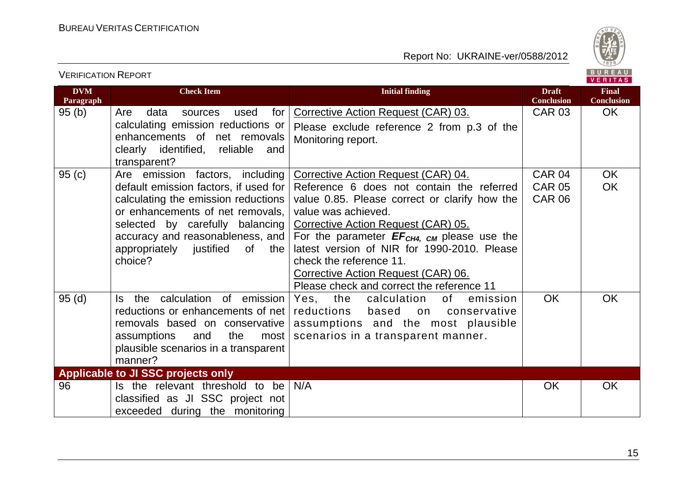VERIFICATION REPORT



| <b>DVM</b><br>Paragraph | <b>Check Item</b>                                                        | <b>Initial finding</b>                                                                  | <b>Draft</b><br><b>Conclusion</b> | <b>Final</b><br><b>Conclusion</b> |
|-------------------------|--------------------------------------------------------------------------|-----------------------------------------------------------------------------------------|-----------------------------------|-----------------------------------|
| 95(b)                   | Are<br>data<br>for<br>used<br>sources                                    | Corrective Action Request (CAR) 03.                                                     | <b>CAR 03</b>                     | <b>OK</b>                         |
|                         | calculating emission reductions or                                       | Please exclude reference 2 from p.3 of the                                              |                                   |                                   |
|                         | enhancements of net removals                                             | Monitoring report.                                                                      |                                   |                                   |
|                         | clearly identified, reliable<br>and                                      |                                                                                         |                                   |                                   |
|                         | transparent?                                                             |                                                                                         |                                   |                                   |
| 95(c)                   | Are emission factors, including<br>default emission factors, if used for | <b>Corrective Action Request (CAR) 04.</b><br>Reference 6 does not contain the referred | <b>CAR 04</b><br><b>CAR 05</b>    | <b>OK</b><br><b>OK</b>            |
|                         | calculating the emission reductions                                      | value 0.85. Please correct or clarify how the                                           | <b>CAR 06</b>                     |                                   |
|                         | or enhancements of net removals,                                         | value was achieved.                                                                     |                                   |                                   |
|                         | selected by carefully balancing                                          | Corrective Action Request (CAR) 05.                                                     |                                   |                                   |
|                         | accuracy and reasonableness, and                                         | For the parameter $EF_{CH4, CM}$ please use the                                         |                                   |                                   |
|                         | appropriately justified<br>of<br>the                                     | latest version of NIR for 1990-2010. Please                                             |                                   |                                   |
|                         | choice?                                                                  | check the reference 11.                                                                 |                                   |                                   |
|                         |                                                                          | Corrective Action Request (CAR) 06.                                                     |                                   |                                   |
|                         |                                                                          | Please check and correct the reference 11                                               |                                   |                                   |
| 95(d)                   | the calculation of emission<br>Is.                                       | Yes, the<br>calculation<br>of<br>emission                                               | <b>OK</b>                         | <b>OK</b>                         |
|                         | reductions or enhancements of net                                        | reductions<br>based<br>on<br>conservative                                               |                                   |                                   |
|                         | removals based on conservative<br>the                                    | assumptions and the most plausible                                                      |                                   |                                   |
|                         | assumptions<br>and<br>most<br>plausible scenarios in a transparent       | scenarios in a transparent manner.                                                      |                                   |                                   |
|                         | manner?                                                                  |                                                                                         |                                   |                                   |
|                         | Applicable to JI SSC projects only                                       |                                                                                         |                                   |                                   |
| 96                      | Is the relevant threshold to be                                          | N/A                                                                                     | <b>OK</b>                         | <b>OK</b>                         |
|                         | classified as JI SSC project not                                         |                                                                                         |                                   |                                   |
|                         | exceeded during the monitoring                                           |                                                                                         |                                   |                                   |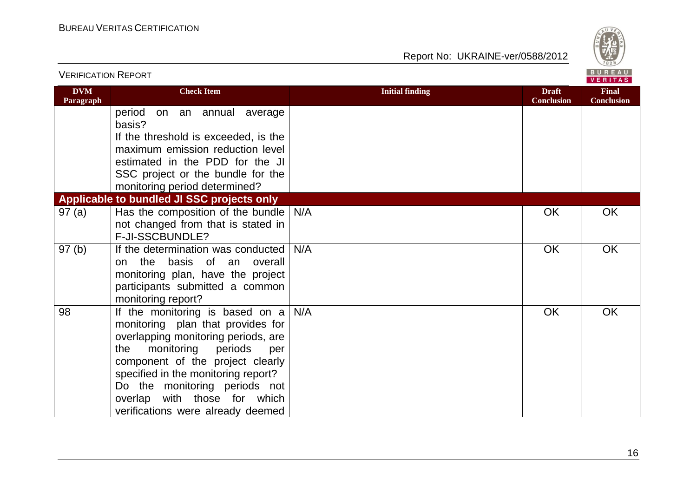

| <b>VERIFICATION REPORT</b> |                                                                                                                                                                                                                                                                                                                                            |                        | BUREAU<br><b>VERITAS</b>          |                                   |
|----------------------------|--------------------------------------------------------------------------------------------------------------------------------------------------------------------------------------------------------------------------------------------------------------------------------------------------------------------------------------------|------------------------|-----------------------------------|-----------------------------------|
| <b>DVM</b><br>Paragraph    | <b>Check Item</b>                                                                                                                                                                                                                                                                                                                          | <b>Initial finding</b> | <b>Draft</b><br><b>Conclusion</b> | <b>Final</b><br><b>Conclusion</b> |
|                            | period<br>on an annual average<br>basis?                                                                                                                                                                                                                                                                                                   |                        |                                   |                                   |
|                            | If the threshold is exceeded, is the                                                                                                                                                                                                                                                                                                       |                        |                                   |                                   |
|                            | maximum emission reduction level                                                                                                                                                                                                                                                                                                           |                        |                                   |                                   |
|                            | estimated in the PDD for the JI                                                                                                                                                                                                                                                                                                            |                        |                                   |                                   |
|                            | SSC project or the bundle for the                                                                                                                                                                                                                                                                                                          |                        |                                   |                                   |
|                            | monitoring period determined?<br>Applicable to bundled JI SSC projects only                                                                                                                                                                                                                                                                |                        |                                   |                                   |
| 97(a)                      | Has the composition of the bundle                                                                                                                                                                                                                                                                                                          | N/A                    | OK                                | <b>OK</b>                         |
|                            | not changed from that is stated in                                                                                                                                                                                                                                                                                                         |                        |                                   |                                   |
|                            | F-JI-SSCBUNDLE?                                                                                                                                                                                                                                                                                                                            |                        |                                   |                                   |
| 97(b)                      | If the determination was conducted<br>the basis of an overall<br>on<br>monitoring plan, have the project<br>participants submitted a common<br>monitoring report?                                                                                                                                                                          | N/A                    | OK                                | OK                                |
| 98                         | If the monitoring is based on $a \mid$<br>monitoring plan that provides for<br>overlapping monitoring periods, are<br>monitoring<br>periods<br>the<br>per<br>component of the project clearly<br>specified in the monitoring report?<br>Do the monitoring periods not<br>overlap with those for which<br>verifications were already deemed | N/A                    | OK                                | OK                                |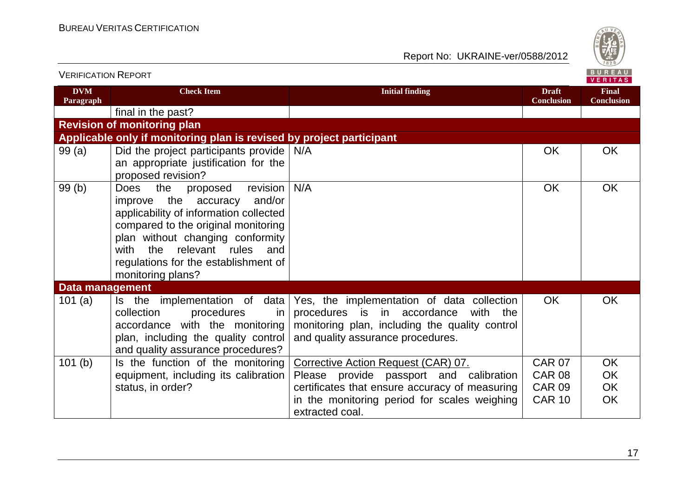

| <u>VENIFIUATIUN INEFUNT</u> |                                                                                                                                                                                                                                                                                                        | VERITAS                                                                                                                                                                         |                                   |                                   |
|-----------------------------|--------------------------------------------------------------------------------------------------------------------------------------------------------------------------------------------------------------------------------------------------------------------------------------------------------|---------------------------------------------------------------------------------------------------------------------------------------------------------------------------------|-----------------------------------|-----------------------------------|
| <b>DVM</b><br>Paragraph     | <b>Check Item</b>                                                                                                                                                                                                                                                                                      | <b>Initial finding</b>                                                                                                                                                          | <b>Draft</b><br><b>Conclusion</b> | <b>Final</b><br><b>Conclusion</b> |
|                             | final in the past?                                                                                                                                                                                                                                                                                     |                                                                                                                                                                                 |                                   |                                   |
|                             | <b>Revision of monitoring plan</b>                                                                                                                                                                                                                                                                     |                                                                                                                                                                                 |                                   |                                   |
|                             | Applicable only if monitoring plan is revised by project participant                                                                                                                                                                                                                                   |                                                                                                                                                                                 |                                   |                                   |
| 99(a)                       | Did the project participants provide<br>an appropriate justification for the<br>proposed revision?                                                                                                                                                                                                     | N/A                                                                                                                                                                             | <b>OK</b>                         | OK                                |
| 99(b)                       | the<br>revision<br><b>Does</b><br>proposed<br>and/or<br>improve the accuracy<br>applicability of information collected<br>compared to the original monitoring<br>plan without changing conformity<br>the<br>relevant rules<br>with<br>and<br>regulations for the establishment of<br>monitoring plans? | N/A                                                                                                                                                                             | <b>OK</b>                         | OK                                |
| <b>Data management</b>      |                                                                                                                                                                                                                                                                                                        |                                                                                                                                                                                 |                                   |                                   |
| 101(a)                      | Is the implementation of data<br>collection<br>procedures<br>in.<br>accordance with the monitoring<br>plan, including the quality control<br>and quality assurance procedures?                                                                                                                         | Yes, the implementation of data collection<br>procedures is in accordance<br>with<br>the<br>monitoring plan, including the quality control<br>and quality assurance procedures. | <b>OK</b>                         | OK                                |
| 101(b)                      | Is the function of the monitoring                                                                                                                                                                                                                                                                      | Corrective Action Request (CAR) 07.                                                                                                                                             | <b>CAR 07</b>                     | OK                                |
|                             | equipment, including its calibration                                                                                                                                                                                                                                                                   | Please provide passport and calibration                                                                                                                                         | <b>CAR 08</b>                     | OK                                |
|                             | status, in order?                                                                                                                                                                                                                                                                                      | certificates that ensure accuracy of measuring                                                                                                                                  | <b>CAR 09</b>                     | OK                                |
|                             |                                                                                                                                                                                                                                                                                                        | in the monitoring period for scales weighing<br>extracted coal.                                                                                                                 | <b>CAR 10</b>                     | <b>OK</b>                         |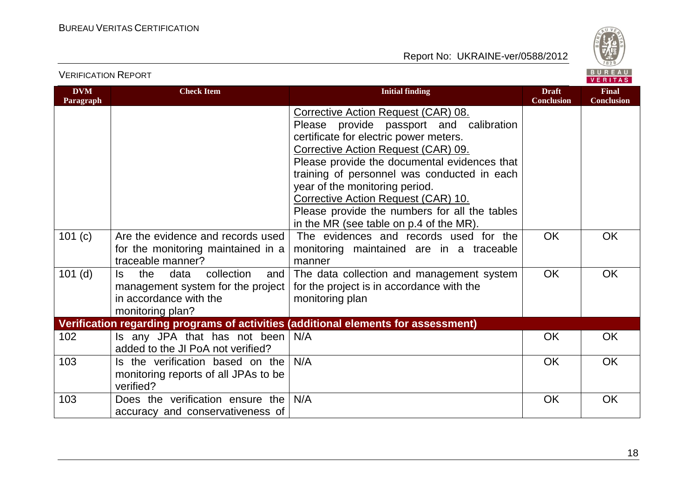



VERIFICATION REPORT

| <b>DVM</b><br>Paragraph | <b>Check Item</b>                                                                                                          | <b>Initial finding</b>                                                                                                                                                                                                                                                                                                                                                                                                                                                        | <b>Draft</b><br><b>Conclusion</b> | <b>Final</b><br><b>Conclusion</b> |
|-------------------------|----------------------------------------------------------------------------------------------------------------------------|-------------------------------------------------------------------------------------------------------------------------------------------------------------------------------------------------------------------------------------------------------------------------------------------------------------------------------------------------------------------------------------------------------------------------------------------------------------------------------|-----------------------------------|-----------------------------------|
| 101(c)                  | Are the evidence and records used                                                                                          | Corrective Action Request (CAR) 08.<br>Please provide passport and calibration<br>certificate for electric power meters.<br>Corrective Action Request (CAR) 09.<br>Please provide the documental evidences that<br>training of personnel was conducted in each<br>year of the monitoring period.<br>Corrective Action Request (CAR) 10.<br>Please provide the numbers for all the tables<br>in the MR (see table on p.4 of the MR).<br>The evidences and records used for the | <b>OK</b>                         | <b>OK</b>                         |
|                         | for the monitoring maintained in a<br>traceable manner?                                                                    | monitoring maintained are in a traceable<br>manner                                                                                                                                                                                                                                                                                                                                                                                                                            |                                   |                                   |
| $101$ (d)               | the<br>data<br>collection<br>and<br>ls.<br>management system for the project<br>in accordance with the<br>monitoring plan? | The data collection and management system<br>for the project is in accordance with the<br>monitoring plan                                                                                                                                                                                                                                                                                                                                                                     | <b>OK</b>                         | <b>OK</b>                         |
|                         |                                                                                                                            | Verification regarding programs of activities (additional elements for assessment)                                                                                                                                                                                                                                                                                                                                                                                            |                                   |                                   |
| 102                     | Is any JPA that has not been<br>added to the JI PoA not verified?                                                          | N/A                                                                                                                                                                                                                                                                                                                                                                                                                                                                           | <b>OK</b>                         | <b>OK</b>                         |
| 103                     | Is the verification based on the<br>monitoring reports of all JPAs to be<br>verified?                                      | N/A                                                                                                                                                                                                                                                                                                                                                                                                                                                                           | <b>OK</b>                         | <b>OK</b>                         |
| 103                     | Does the verification ensure the<br>accuracy and conservativeness of                                                       | N/A                                                                                                                                                                                                                                                                                                                                                                                                                                                                           | <b>OK</b>                         | <b>OK</b>                         |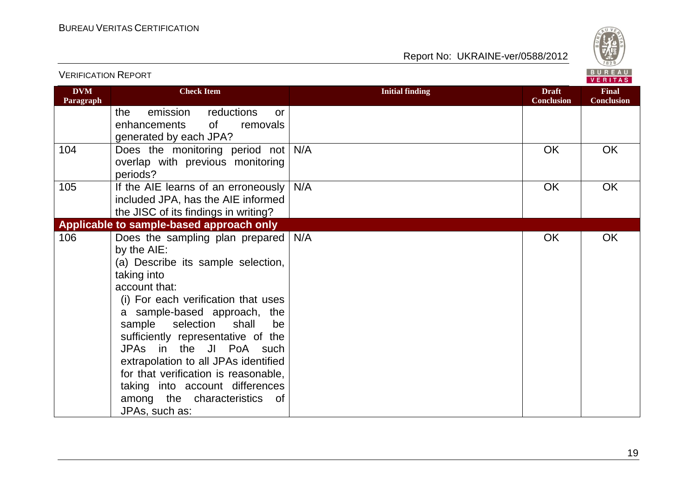VERIFICATION REPORT



| <b>DVM</b><br>Paragraph | <b>Check Item</b>                                                                                                                                                                                                                                                                                                                                                                                                                                                          | <b>Initial finding</b> | <b>Draft</b><br><b>Conclusion</b> | <b>Final</b><br><b>Conclusion</b> |
|-------------------------|----------------------------------------------------------------------------------------------------------------------------------------------------------------------------------------------------------------------------------------------------------------------------------------------------------------------------------------------------------------------------------------------------------------------------------------------------------------------------|------------------------|-----------------------------------|-----------------------------------|
|                         | the<br>emission<br>reductions<br><b>or</b><br>0f<br>removals<br>enhancements<br>generated by each JPA?                                                                                                                                                                                                                                                                                                                                                                     |                        |                                   |                                   |
| 104                     | Does the monitoring period not<br>overlap with previous monitoring<br>periods?                                                                                                                                                                                                                                                                                                                                                                                             | N/A                    | <b>OK</b>                         | OK                                |
| 105                     | If the AIE learns of an erroneously<br>included JPA, has the AIE informed<br>the JISC of its findings in writing?                                                                                                                                                                                                                                                                                                                                                          | N/A                    | OK                                | OK                                |
|                         | Applicable to sample-based approach only                                                                                                                                                                                                                                                                                                                                                                                                                                   |                        |                                   |                                   |
| 106                     | Does the sampling plan prepared<br>by the AIE:<br>(a) Describe its sample selection,<br>taking into<br>account that:<br>(i) For each verification that uses<br>a sample-based approach, the<br>selection<br>sample<br>shall<br>be<br>sufficiently representative of the<br>JPAs in the JI PoA such<br>extrapolation to all JPAs identified<br>for that verification is reasonable,<br>taking into account differences<br>among the characteristics<br>of<br>JPAs, such as: | N/A                    | <b>OK</b>                         | OK                                |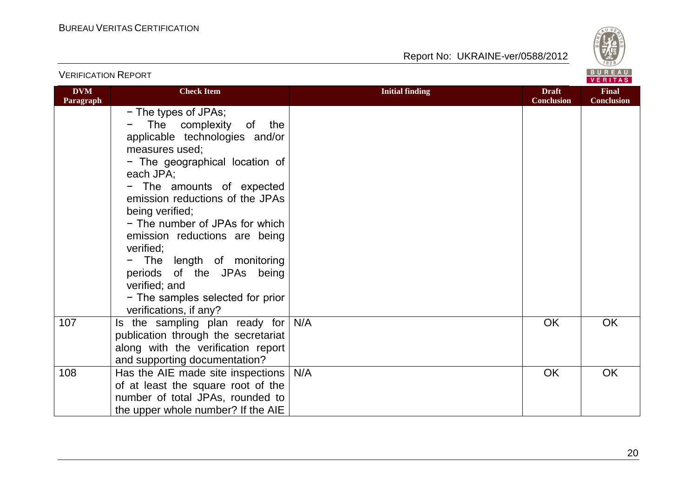

| <b>VERIFICATION REPORT</b> |                                                                                                                                                                                                                                                                                                                                                                                                                                                                     |                        |                                   | BUREAU<br>VERITAS                 |
|----------------------------|---------------------------------------------------------------------------------------------------------------------------------------------------------------------------------------------------------------------------------------------------------------------------------------------------------------------------------------------------------------------------------------------------------------------------------------------------------------------|------------------------|-----------------------------------|-----------------------------------|
| <b>DVM</b><br>Paragraph    | <b>Check Item</b>                                                                                                                                                                                                                                                                                                                                                                                                                                                   | <b>Initial finding</b> | <b>Draft</b><br><b>Conclusion</b> | <b>Final</b><br><b>Conclusion</b> |
|                            | - The types of JPAs;<br>The complexity<br>of<br>the<br>applicable technologies and/or<br>measures used;<br>- The geographical location of<br>each JPA;<br>- The amounts of expected<br>emission reductions of the JPAs<br>being verified;<br>- The number of JPAs for which<br>emission reductions are being<br>verified;<br>- The length of monitoring<br>periods of the JPAs being<br>verified; and<br>- The samples selected for prior<br>verifications, if any? |                        |                                   |                                   |
| 107                        | Is the sampling plan ready for<br>publication through the secretariat<br>along with the verification report<br>and supporting documentation?                                                                                                                                                                                                                                                                                                                        | N/A                    | <b>OK</b>                         | OK                                |
| 108                        | Has the AIE made site inspections  <br>of at least the square root of the<br>number of total JPAs, rounded to<br>the upper whole number? If the AIE                                                                                                                                                                                                                                                                                                                 | N/A                    | OK                                | <b>OK</b>                         |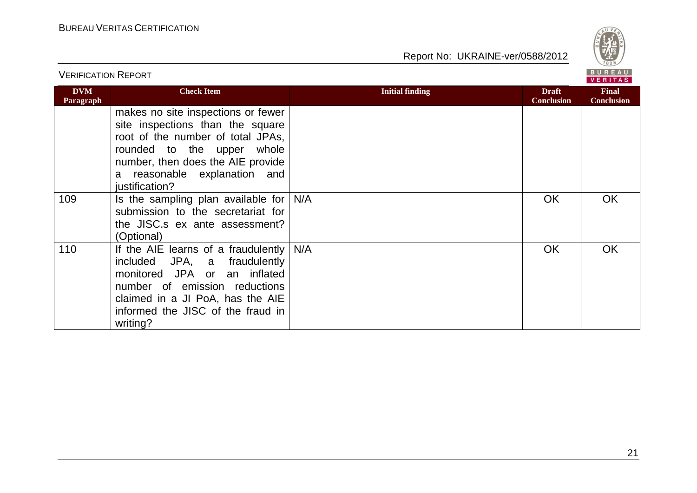

|                         |                                                                                                                                                                                                                                  |                        |                                   | <b>VERITAS</b>                    |  |
|-------------------------|----------------------------------------------------------------------------------------------------------------------------------------------------------------------------------------------------------------------------------|------------------------|-----------------------------------|-----------------------------------|--|
| <b>DVM</b><br>Paragraph | <b>Check Item</b>                                                                                                                                                                                                                | <b>Initial finding</b> | <b>Draft</b><br><b>Conclusion</b> | <b>Final</b><br><b>Conclusion</b> |  |
|                         | makes no site inspections or fewer<br>site inspections than the square<br>root of the number of total JPAs,<br>rounded to the upper whole<br>number, then does the AIE provide<br>a reasonable explanation and<br>justification? |                        |                                   |                                   |  |
| 109                     | Is the sampling plan available for $N/A$<br>submission to the secretariat for<br>the JISC.s ex ante assessment?<br>(Optional)                                                                                                    |                        | <b>OK</b>                         | OK.                               |  |
| 110                     | If the AIE learns of a fraudulently $N/A$<br>included JPA, a fraudulently<br>monitored JPA or an inflated<br>number of emission reductions<br>claimed in a JI PoA, has the AIE<br>informed the JISC of the fraud in<br>writing?  |                        | <b>OK</b>                         | <b>OK</b>                         |  |

VERIFICATION REPORT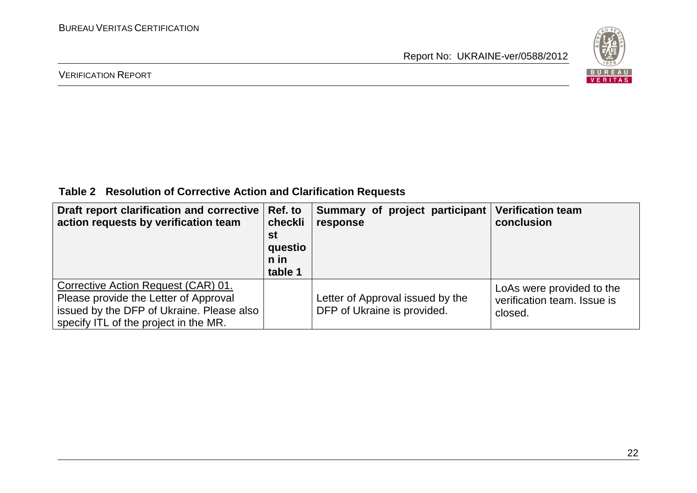

#### VERIFICATION REPORT

**Table 2 Resolution of Corrective Action and Clarification Requests**

| Draft report clarification and corrective<br>action requests by verification team                                                                                  | Ref. to<br>checkli<br>st<br>questio<br>n in<br>table 1 | Summary of project participant<br>response                      | <b>Verification team</b><br>conclusion                              |
|--------------------------------------------------------------------------------------------------------------------------------------------------------------------|--------------------------------------------------------|-----------------------------------------------------------------|---------------------------------------------------------------------|
| Corrective Action Request (CAR) 01.<br>Please provide the Letter of Approval<br>issued by the DFP of Ukraine. Please also<br>specify ITL of the project in the MR. |                                                        | Letter of Approval issued by the<br>DFP of Ukraine is provided. | LoAs were provided to the<br>verification team. Issue is<br>closed. |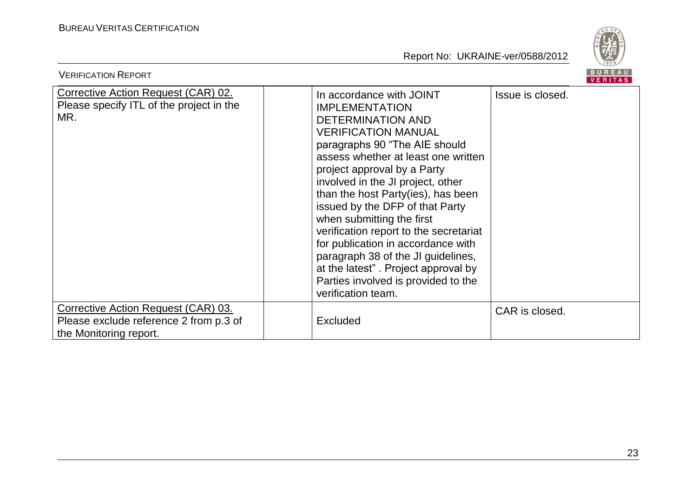

| <b>VERIFICATION REPORT</b>                                                                              |                                                                                                                                                                                                                                                                                                                                                                                                                                                                                                                                                                                         | BUREAU<br>VERITAS |
|---------------------------------------------------------------------------------------------------------|-----------------------------------------------------------------------------------------------------------------------------------------------------------------------------------------------------------------------------------------------------------------------------------------------------------------------------------------------------------------------------------------------------------------------------------------------------------------------------------------------------------------------------------------------------------------------------------------|-------------------|
| Corrective Action Request (CAR) 02.<br>Please specify ITL of the project in the<br>MR.                  | In accordance with JOINT<br><b>IMPLEMENTATION</b><br><b>DETERMINATION AND</b><br><b>VERIFICATION MANUAL</b><br>paragraphs 90 "The AIE should<br>assess whether at least one written<br>project approval by a Party<br>involved in the JI project, other<br>than the host Party(ies), has been<br>issued by the DFP of that Party<br>when submitting the first<br>verification report to the secretariat<br>for publication in accordance with<br>paragraph 38 of the JI guidelines,<br>at the latest". Project approval by<br>Parties involved is provided to the<br>verification team. | Issue is closed.  |
| Corrective Action Request (CAR) 03.<br>Please exclude reference 2 from p.3 of<br>the Monitoring report. | Excluded                                                                                                                                                                                                                                                                                                                                                                                                                                                                                                                                                                                | CAR is closed.    |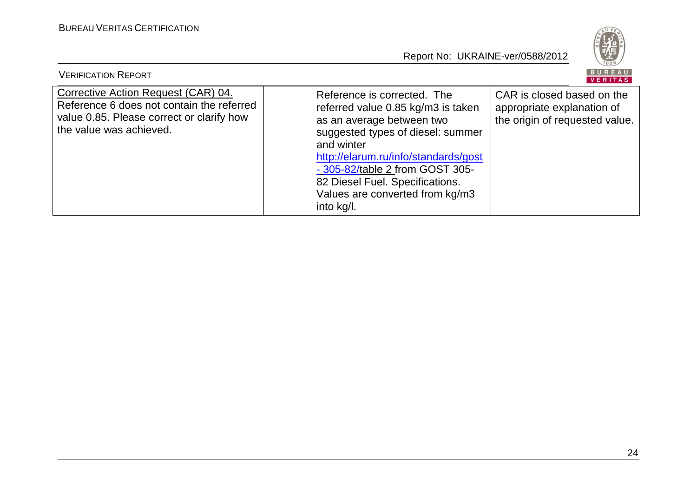

| <b>VERIFICATION REPORT</b>                                                                                                                               |                                                                                                                                                                                                                                                                                                                  | BUREAU<br>VERITAS                                                                          |
|----------------------------------------------------------------------------------------------------------------------------------------------------------|------------------------------------------------------------------------------------------------------------------------------------------------------------------------------------------------------------------------------------------------------------------------------------------------------------------|--------------------------------------------------------------------------------------------|
| Corrective Action Request (CAR) 04.<br>Reference 6 does not contain the referred<br>value 0.85. Please correct or clarify how<br>the value was achieved. | Reference is corrected. The<br>referred value 0.85 kg/m3 is taken<br>as an average between two<br>suggested types of diesel: summer<br>and winter<br>http://elarum.ru/info/standards/gost<br>- 305-82/table 2 from GOST 305-<br>82 Diesel Fuel. Specifications.<br>Values are converted from kg/m3<br>into kg/l. | CAR is closed based on the<br>appropriate explanation of<br>the origin of requested value. |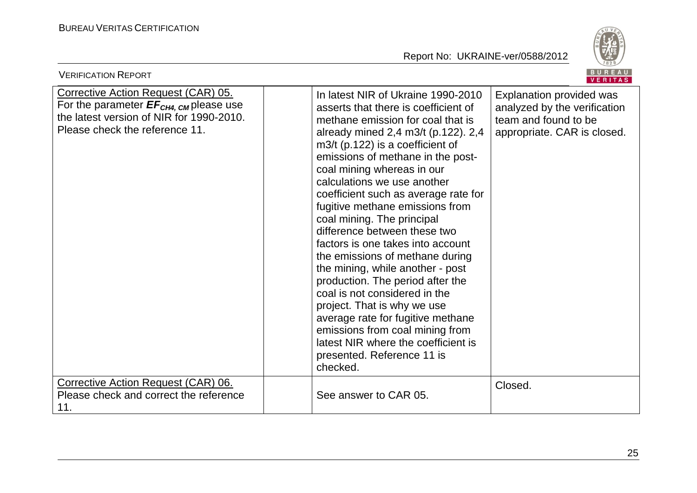

| <b>VERIFICATION REPORT</b>                                                                                                                                                     |                                                                                                                                                                                                                                                                                                                                                                                                                                                                                                                                                                                                                                                                                                                                                                                                                  | BUREAU<br><b>VERITAS</b>                                                                                        |
|--------------------------------------------------------------------------------------------------------------------------------------------------------------------------------|------------------------------------------------------------------------------------------------------------------------------------------------------------------------------------------------------------------------------------------------------------------------------------------------------------------------------------------------------------------------------------------------------------------------------------------------------------------------------------------------------------------------------------------------------------------------------------------------------------------------------------------------------------------------------------------------------------------------------------------------------------------------------------------------------------------|-----------------------------------------------------------------------------------------------------------------|
| <b>Corrective Action Request (CAR) 05.</b><br>For the parameter $EF_{CH4, \text{CM}}$ please use<br>the latest version of NIR for 1990-2010.<br>Please check the reference 11. | In latest NIR of Ukraine 1990-2010<br>asserts that there is coefficient of<br>methane emission for coal that is<br>already mined 2,4 m3/t (p.122). 2,4<br>$m3/t$ (p.122) is a coefficient of<br>emissions of methane in the post-<br>coal mining whereas in our<br>calculations we use another<br>coefficient such as average rate for<br>fugitive methane emissions from<br>coal mining. The principal<br>difference between these two<br>factors is one takes into account<br>the emissions of methane during<br>the mining, while another - post<br>production. The period after the<br>coal is not considered in the<br>project. That is why we use<br>average rate for fugitive methane<br>emissions from coal mining from<br>latest NIR where the coefficient is<br>presented. Reference 11 is<br>checked. | Explanation provided was<br>analyzed by the verification<br>team and found to be<br>appropriate. CAR is closed. |
| Corrective Action Request (CAR) 06.<br>Please check and correct the reference<br>11.                                                                                           | See answer to CAR 05.                                                                                                                                                                                                                                                                                                                                                                                                                                                                                                                                                                                                                                                                                                                                                                                            | Closed.                                                                                                         |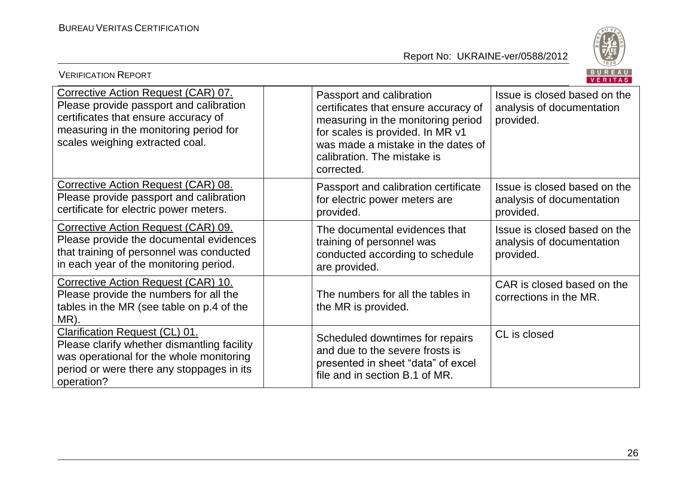

| BUREAU<br><b>VERIFICATION REPORT</b><br><b>VERITAS</b>                                                                                                                                              |                                                                                                                                                                                                                               |                                                                        |  |
|-----------------------------------------------------------------------------------------------------------------------------------------------------------------------------------------------------|-------------------------------------------------------------------------------------------------------------------------------------------------------------------------------------------------------------------------------|------------------------------------------------------------------------|--|
| Corrective Action Request (CAR) 07.<br>Please provide passport and calibration<br>certificates that ensure accuracy of<br>measuring in the monitoring period for<br>scales weighing extracted coal. | Passport and calibration<br>certificates that ensure accuracy of<br>measuring in the monitoring period<br>for scales is provided. In MR v1<br>was made a mistake in the dates of<br>calibration. The mistake is<br>corrected. | Issue is closed based on the<br>analysis of documentation<br>provided. |  |
| Corrective Action Request (CAR) 08.<br>Please provide passport and calibration<br>certificate for electric power meters.                                                                            | Passport and calibration certificate<br>for electric power meters are<br>provided.                                                                                                                                            | Issue is closed based on the<br>analysis of documentation<br>provided. |  |
| Corrective Action Request (CAR) 09.<br>Please provide the documental evidences<br>that training of personnel was conducted<br>in each year of the monitoring period.                                | The documental evidences that<br>training of personnel was<br>conducted according to schedule<br>are provided.                                                                                                                | Issue is closed based on the<br>analysis of documentation<br>provided. |  |
| Corrective Action Request (CAR) 10.<br>Please provide the numbers for all the<br>tables in the MR (see table on p.4 of the<br>MR).                                                                  | The numbers for all the tables in<br>the MR is provided.                                                                                                                                                                      | CAR is closed based on the<br>corrections in the MR.                   |  |
| Clarification Request (CL) 01.<br>Please clarify whether dismantling facility<br>was operational for the whole monitoring<br>period or were there any stoppages in its<br>operation?                | Scheduled downtimes for repairs<br>and due to the severe frosts is<br>presented in sheet "data" of excel<br>file and in section B.1 of MR.                                                                                    | CL is closed                                                           |  |